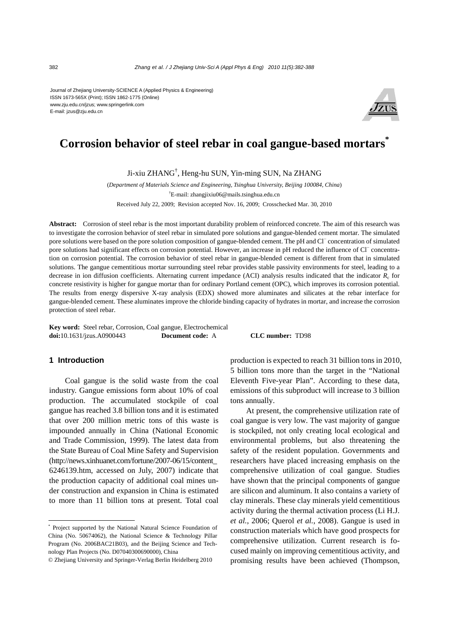Journal of Zhejiang University-SCIENCE A (Applied Physics & Engineering) ISSN 1673-565X (Print); ISSN 1862-1775 (Online) www.zju.edu.cn/jzus; www.springerlink.com E-mail: jzus@zju.edu.cn



# **Corrosion behavior of steel rebar in coal gangue-based mortars\***

Ji-xiu ZHANG† , Heng-hu SUN, Yin-ming SUN, Na ZHANG

(*Department of Materials Science and Engineering, Tsinghua University, Beijing 100084, China*) † E-mail: zhangjixiu06@mails.tsinghua.edu.cn

Received July 22, 2009; Revision accepted Nov. 16, 2009; Crosschecked Mar. 30, 2010

**Abstract:** Corrosion of steel rebar is the most important durability problem of reinforced concrete. The aim of this research was to investigate the corrosion behavior of steel rebar in simulated pore solutions and gangue-blended cement mortar. The simulated pore solutions were based on the pore solution composition of gangue-blended cement. The pH and Cl<sup>−</sup> concentration of simulated pore solutions had significant effects on corrosion potential. However, an increase in pH reduced the influence of Cl<sup>−</sup> concentration on corrosion potential. The corrosion behavior of steel rebar in gangue-blended cement is different from that in simulated solutions. The gangue cementitious mortar surrounding steel rebar provides stable passivity environments for steel, leading to a decrease in ion diffusion coefficients. Alternating current impedance (ACI) analysis results indicated that the indicator  $R_c$  for concrete resistivity is higher for gangue mortar than for ordinary Portland cement (OPC), which improves its corrosion potential. The results from energy dispersive X-ray analysis (EDX) showed more aluminates and silicates at the rebar interface for gangue-blended cement. These aluminates improve the chloride binding capacity of hydrates in mortar, and increase the corrosion protection of steel rebar.

**Key word:** Steel rebar, Corrosion, Coal gangue, Electrochemical **doi:**10.1631/jzus.A0900443 **Document code:** A **CLC number:** TD98

## **1 Introduction**

Coal gangue is the solid waste from the coal industry. Gangue emissions form about 10% of coal production. The accumulated stockpile of coal gangue has reached 3.8 billion tons and it is estimated that over 200 million metric tons of this waste is impounded annually in China (National Economic and Trade Commission, 1999). The latest data from the State Bureau of Coal Mine Safety and Supervision (http://news.xinhuanet.com/fortune/2007-06/15/content\_ 6246139.htm, accessed on July, 2007) indicate that the production capacity of additional coal mines under construction and expansion in China is estimated to more than 11 billion tons at present. Total coal

production is expected to reach 31 billion tons in 2010, 5 billion tons more than the target in the "National Eleventh Five-year Plan". According to these data, emissions of this subproduct will increase to 3 billion tons annually.

At present, the comprehensive utilization rate of coal gangue is very low. The vast majority of gangue is stockpiled, not only creating local ecological and environmental problems, but also threatening the safety of the resident population. Governments and researchers have placed increasing emphasis on the comprehensive utilization of coal gangue. Studies have shown that the principal components of gangue are silicon and aluminum. It also contains a variety of clay minerals. These clay minerals yield cementitious activity during the thermal activation process (Li H.J. *et al.*, 2006; Querol *et al.*, 2008). Gangue is used in construction materials which have good prospects for comprehensive utilization. Current research is focused mainly on improving cementitious activity, and promising results have been achieved (Thompson,

<sup>\*</sup> Project supported by the National Natural Science Foundation of China (No. 50674062), the National Science & Technology Pillar Program (No. 2006BAC21B03), and the Beijing Science and Technology Plan Projects (No. D07040300690000), China

<sup>©</sup> Zhejiang University and Springer-Verlag Berlin Heidelberg 2010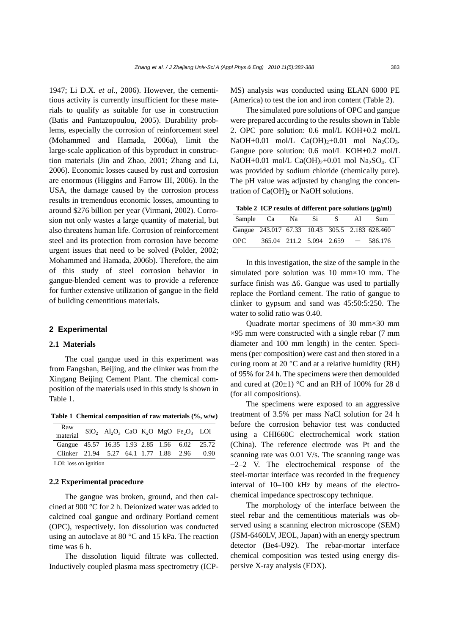1947; Li D.X. *et al.*, 2006). However, the cementitious activity is currently insufficient for these materials to qualify as suitable for use in construction (Batis and Pantazopoulou, 2005). Durability problems, especially the corrosion of reinforcement steel (Mohammed and Hamada, 2006a), limit the large-scale application of this byproduct in construction materials (Jin and Zhao, 2001; Zhang and Li, 2006). Economic losses caused by rust and corrosion are enormous (Higgins and Farrow III, 2006). In the USA, the damage caused by the corrosion process results in tremendous economic losses, amounting to around \$276 billion per year (Virmani, 2002). Corrosion not only wastes a large quantity of material, but also threatens human life. Corrosion of reinforcement steel and its protection from corrosion have become urgent issues that need to be solved (Polder, 2002; Mohammed and Hamada, 2006b). Therefore, the aim of this study of steel corrosion behavior in gangue-blended cement was to provide a reference for further extensive utilization of gangue in the field of building cementitious materials.

## **2 Experimental**

## **2.1 Materials**

The coal gangue used in this experiment was from Fangshan, Beijing, and the clinker was from the Xingang Beijing Cement Plant. The chemical composition of the materials used in this study is shown in Table 1.

**Table 1 Chemical composition of raw materials (%, w/w)**

| Raw<br>material                              |  |  | $\rm SiO_2$ $\rm Al_2O_3$ CaO $\rm K_2O$ MgO $\rm Fe_2O_3$ LOI |  |
|----------------------------------------------|--|--|----------------------------------------------------------------|--|
| Gangue 45.57 16.35 1.93 2.85 1.56 6.02 25.72 |  |  |                                                                |  |
| Clinker 21.94 5.27 64.1 1.77 1.88 2.96 0.90  |  |  |                                                                |  |
|                                              |  |  |                                                                |  |

LOI: loss on ignition

## **2.2 Experimental procedure**

The gangue was broken, ground, and then calcined at 900 °C for 2 h. Deionized water was added to calcined coal gangue and ordinary Portland cement (OPC), respectively. Ion dissolution was conducted using an autoclave at 80 °C and 15 kPa. The reaction time was 6 h.

The dissolution liquid filtrate was collected. Inductively coupled plasma mass spectrometry (ICP- MS) analysis was conducted using ELAN 6000 PE (America) to test the ion and iron content (Table 2).

The simulated pore solutions of OPC and gangue were prepared according to the results shown in Table 2. OPC pore solution: 0.6 mol/L KOH+0.2 mol/L NaOH+0.01 mol/L  $Ca(OH)<sub>2</sub>+0.01$  mol Na<sub>2</sub>CO<sub>3</sub>. Gangue pore solution: 0.6 mol/L KOH+0.2 mol/L NaOH+0.01 mol/L Ca(OH)<sub>2</sub>+0.01 mol Na<sub>2</sub>SO<sub>4</sub>. Cl<sup>−</sup> was provided by sodium chloride (chemically pure). The pH value was adjusted by changing the concentration of  $Ca(OH)_2$  or NaOH solutions.

**Table 2 ICP results of different pore solutions (μg/ml)**

| Sample Ca |                                                | Na. | Si | $-S$ $-$ | AL | Sum     |
|-----------|------------------------------------------------|-----|----|----------|----|---------|
|           | Gangue 243.017 67.33 10.43 305.5 2.183 628.460 |     |    |          |    |         |
| OPC.      | $365.04$ 211.2 5.094 2.659 -                   |     |    |          |    | 586.176 |

In this investigation, the size of the sample in the simulated pore solution was 10 mm×10 mm. The surface finish was  $\Delta 6$ . Gangue was used to partially replace the Portland cement. The ratio of gangue to clinker to gypsum and sand was 45:50:5:250. The water to solid ratio was 0.40.

Quadrate mortar specimens of 30 mm×30 mm  $\times$ 95 mm were constructed with a single rebar (7 mm diameter and 100 mm length) in the center. Specimens (per composition) were cast and then stored in a curing room at 20  $\degree$ C and at a relative humidity (RH) of 95% for 24 h. The specimens were then demoulded and cured at  $(20\pm1)$  °C and an RH of 100% for 28 d (for all compositions).

The specimens were exposed to an aggressive treatment of 3.5% per mass NaCl solution for 24 h before the corrosion behavior test was conducted using a CHI660C electrochemical work station (China). The reference electrode was Pt and the scanning rate was 0.01 V/s. The scanning range was −2–2 V. The electrochemical response of the steel-mortar interface was recorded in the frequency interval of 10–100 kHz by means of the electrochemical impedance spectroscopy technique.

The morphology of the interface between the steel rebar and the cementitious materials was observed using a scanning electron microscope (SEM) (JSM-6460LV, JEOL, Japan) with an energy spectrum detector (Be4-U92). The rebar-mortar interface chemical composition was tested using energy dispersive X-ray analysis (EDX).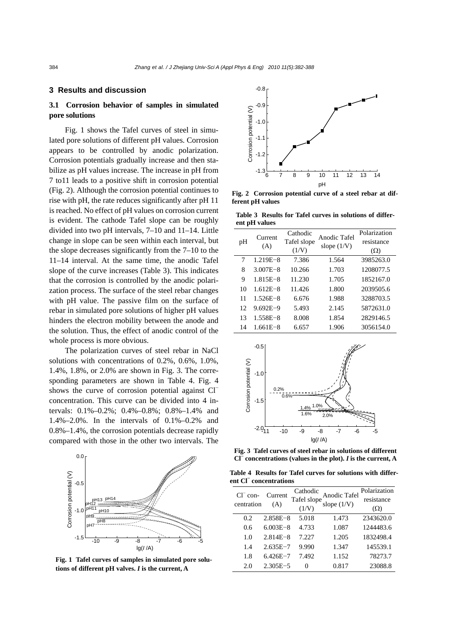## **3 Results and discussion**

# **3.1 Corrosion behavior of samples in simulated pore solutions**

Fig. 1 shows the Tafel curves of steel in simulated pore solutions of different pH values. Corrosion appears to be controlled by anodic polarization. Corrosion potentials gradually increase and then stabilize as pH values increase. The increase in pH from 7 to11 leads to a positive shift in corrosion potential (Fig. 2). Although the corrosion potential continues to rise with pH, the rate reduces significantly after pH 11 is reached. No effect of pH values on corrosion current is evident. The cathode Tafel slope can be roughly divided into two pH intervals, 7–10 and 11–14. Little change in slope can be seen within each interval, but the slope decreases significantly from the 7–10 to the 11–14 interval. At the same time, the anodic Tafel slope of the curve increases (Table 3). This indicates that the corrosion is controlled by the anodic polarization process. The surface of the steel rebar changes with pH value. The passive film on the surface of rebar in simulated pore solutions of higher pH values hinders the electron mobility between the anode and the solution. Thus, the effect of anodic control of the whole process is more obvious.

The polarization curves of steel rebar in NaCl solutions with concentrations of 0.2%, 0.6%, 1.0%, 1.4%, 1.8%, or 2.0% are shown in Fig. 3. The corresponding parameters are shown in Table 4. Fig. 4 shows the curve of corrosion potential against Cl<sup>−</sup> concentration. This curve can be divided into 4 intervals: 0.1%–0.2%; 0.4%–0.8%; 0.8%–1.4% and 1.4%–2.0%. In the intervals of 0.1%–0.2% and 0.8%–1.4%, the corrosion potentials decrease rapidly compared with those in the other two intervals. The



**Fig. 1 Tafel curves of samples in simulated pore solutions of different pH valves.** *I* **is the current, A** 



**Fig. 2 Corrosion potential curve of a steel rebar at different pH values** 

**Table 3 Results for Tafel curves in solutions of different pH values** 

|    | Current<br>(A) | Cathodic    | Anodic Tafel  | Polarization |
|----|----------------|-------------|---------------|--------------|
| pH |                | Tafel slope | slope $(1/V)$ | resistance   |
|    |                | (1/V)       |               | $(\Omega)$   |
| 7  | $1.219E - 8$   | 7.386       | 1.564         | 3985263.0    |
| 8  | $3.007E - 8$   | 10.266      | 1.703         | 1208077.5    |
| 9  | $1.815E - 8$   | 11.230      | 1.705         | 1852167.0    |
| 10 | $1.612E - 8$   | 11.426      | 1.800         | 2039505.6    |
| 11 | $1.526E - 8$   | 6.676       | 1.988         | 3288703.5    |
| 12 | $9.692E - 9$   | 5.493       | 2.145         | 5872631.0    |
| 13 | 1.558E-8       | 8.008       | 1.854         | 2829146.5    |
| 14 | $1.661E - 8$   | 6.657       | 1.906         | 3056154.0    |



**Fig. 3 Tafel curves of steel rebar in solutions of different Cl<sup>−</sup> concentrations (values in the plot).** *I* **is the current, A**

**Table 4 Results for Tafel curves for solutions with different Cl<sup>−</sup> concentrations** 

| $Cl-$ con-<br>centration | Current<br>(A) | Cathodic<br>Tafel slope | Anodic Tafel<br>slope $(1/V)$ | Polarization<br>resistance |
|--------------------------|----------------|-------------------------|-------------------------------|----------------------------|
|                          |                | (1/N)                   |                               | $(\Omega)$                 |
| 0.2                      | $2.858E - 8$   | 5.018                   | 1.473                         | 2343620.0                  |
| 0.6                      | $6.003E - 8$   | 4.733                   | 1.087                         | 1244483.6                  |
| 1.0                      | $2.814E - 8$   | 7.227                   | 1.205                         | 1832498.4                  |
| 1.4                      | $2.635E - 7$   | 9.990                   | 1.347                         | 145539.1                   |
| 1.8                      | $6.426E - 7$   | 7.492                   | 1.152                         | 78273.7                    |
| 2.0                      | $2.305E - 5$   | 0                       | 0.817                         | 23088.8                    |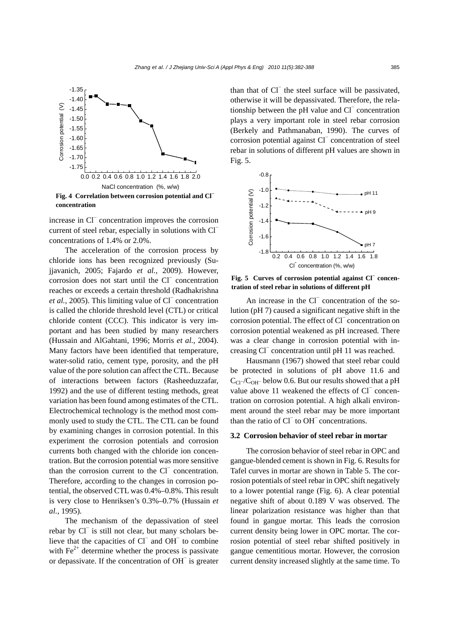

**Fig. 4 Correlation between corrosion potential and Cl<sup>−</sup> concentration** 

increase in Cl<sup>−</sup> concentration improves the corrosion current of steel rebar, especially in solutions with Cl<sup>−</sup> concentrations of 1.4% or 2.0%.

The acceleration of the corrosion process by chloride ions has been recognized previously (Sujjavanich, 2005; Fajardo *et al.*, 2009). However, corrosion does not start until the Cl<sup>−</sup> concentration reaches or exceeds a certain threshold (Radhakrishna *et al.*, 2005). This limiting value of Cl<sup>−</sup> concentration is called the chloride threshold level (CTL) or critical chloride content (CCC). This indicator is very important and has been studied by many researchers (Hussain and AlGahtani, 1996; Morris *et al.*, 2004). Many factors have been identified that temperature, water-solid ratio, cement type, porosity, and the pH value of the pore solution can affect the CTL. Because of interactions between factors (Rasheeduzzafar, 1992) and the use of different testing methods, great variation has been found among estimates of the CTL. Electrochemical technology is the method most commonly used to study the CTL. The CTL can be found by examining changes in corrosion potential. In this experiment the corrosion potentials and corrosion currents both changed with the chloride ion concentration. But the corrosion potential was more sensitive than the corrosion current to the Cl<sup>−</sup> concentration. Therefore, according to the changes in corrosion potential, the observed CTL was 0.4%–0.8%. This result is very close to Henriksen's 0.3%–0.7% (Hussain *et al.*, 1995).

The mechanism of the depassivation of steel rebar by Cl<sup>−</sup> is still not clear, but many scholars believe that the capacities of Cl<sup>−</sup> and OH<sup>−</sup> to combine with  $\text{Fe}^{2+}$  determine whether the process is passivate or depassivate. If the concentration of OH<sup>−</sup> is greater

than that of Cl<sup>−</sup> the steel surface will be passivated, otherwise it will be depassivated. Therefore, the relationship between the pH value and Cl<sup>−</sup> concentration plays a very important role in steel rebar corrosion (Berkely and Pathmanaban, 1990). The curves of corrosion potential against Cl<sup>−</sup> concentration of steel rebar in solutions of different pH values are shown in Fig. 5.



Fig. 5 Curves of corrosion potential against Cl<sup>−</sup> concen**tration of steel rebar in solutions of different pH** 

An increase in the Cl<sup>−</sup> concentration of the solution (pH 7) caused a significant negative shift in the corrosion potential. The effect of Cl<sup>−</sup> concentration on corrosion potential weakened as pH increased. There was a clear change in corrosion potential with increasing Cl<sup>−</sup> concentration until pH 11 was reached.

Hausmann (1967) showed that steel rebar could be protected in solutions of pH above 11.6 and  $C_{Cl}$ −/C<sub>OH</sub>− below 0.6. But our results showed that a pH value above 11 weakened the effects of Cl<sup>−</sup> concentration on corrosion potential. A high alkali environment around the steel rebar may be more important than the ratio of Cl<sup>−</sup> to OH<sup>−</sup> concentrations.

#### **3.2 Corrosion behavior of steel rebar in mortar**

The corrosion behavior of steel rebar in OPC and gangue-blended cement is shown in Fig. 6. Results for Tafel curves in mortar are shown in Table 5. The corrosion potentials of steel rebar in OPC shift negatively to a lower potential range (Fig. 6). A clear potential negative shift of about 0.189 V was observed. The linear polarization resistance was higher than that found in gangue mortar. This leads the corrosion current density being lower in OPC mortar. The corrosion potential of steel rebar shifted positively in gangue cementitious mortar. However, the corrosion current density increased slightly at the same time. To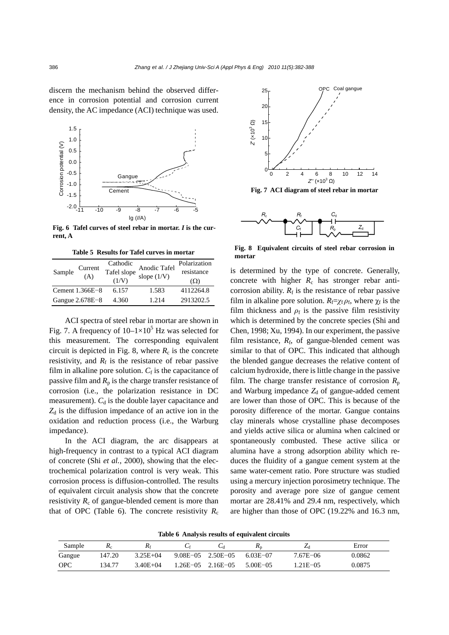discern the mechanism behind the observed difference in corrosion potential and corrosion current density, the AC impedance (ACI) technique was used.



**Fig. 6 Tafel curves of steel rebar in mortar.** *I* **is the current, A** 

**Table 5 Results for Tafel curves in mortar** 

| Sample | Current<br>(A)    | Cathodic<br>Tafel slope | Anodic Tafel<br>slope $(1/V)$ | Polarization<br>resistance |
|--------|-------------------|-------------------------|-------------------------------|----------------------------|
|        |                   | (1/V)                   |                               | $(\Omega)$                 |
|        | Cement $1.366E-8$ | 6.157                   | 1.583                         | 4112264.8                  |
|        | Gangue 2.678E-8   | 4.360                   | 1.214                         | 2913202.5                  |
|        |                   |                         |                               |                            |

ACI spectra of steel rebar in mortar are shown in Fig. 7. A frequency of  $10-1\times10^5$  Hz was selected for this measurement. The corresponding equivalent circuit is depicted in Fig. 8, where  $R_c$  is the concrete resistivity, and  $R_f$  is the resistance of rebar passive film in alkaline pore solution.  $C_f$  is the capacitance of passive film and  $R_p$  is the charge transfer resistance of corrosion (i.e., the polarization resistance in DC measurement).  $C_d$  is the double layer capacitance and  $Z_d$  is the diffusion impedance of an active ion in the oxidation and reduction process (i.e., the Warburg impedance).

In the ACI diagram, the arc disappears at high-frequency in contrast to a typical ACI diagram of concrete (Shi *et al.*, 2000), showing that the electrochemical polarization control is very weak. This corrosion process is diffusion-controlled. The results of equivalent circuit analysis show that the concrete resistivity  $R_c$  of gangue-blended cement is more than that of OPC (Table 6). The concrete resistivity  $R_c$ 



**Fig. 7 ACI diagram of steel rebar in mortar** 



**Fig. 8 Equivalent circuits of steel rebar corrosion in mortar** 

is determined by the type of concrete. Generally, concrete with higher  $R_c$  has stronger rebar anticorrosion ability.  $R_f$  is the resistance of rebar passive film in alkaline pore solution.  $R_f = \chi_f \rho_f$ , where  $\chi_f$  is the film thickness and  $\rho_f$  is the passive film resistivity which is determined by the concrete species (Shi and Chen, 1998; Xu, 1994). In our experiment, the passive film resistance,  $R_f$ , of gangue-blended cement was similar to that of OPC. This indicated that although the blended gangue decreases the relative content of calcium hydroxide, there is little change in the passive film. The charge transfer resistance of corrosion  $R_p$ and Warburg impedance  $Z_d$  of gangue-added cement are lower than those of OPC. This is because of the porosity difference of the mortar. Gangue contains clay minerals whose crystalline phase decomposes and yields active silica or alumina when calcined or spontaneously combusted. These active silica or alumina have a strong adsorption ability which reduces the fluidity of a gangue cement system at the same water-cement ratio. Pore structure was studied using a mercury injection porosimetry technique. The porosity and average pore size of gangue cement mortar are 28.41% and 29.4 nm, respectively, which are higher than those of OPC (19.22% and 16.3 nm,

**Table 6 Analysis results of equivalent circuits** 

| Sample     | <b>ALC</b> | $R_f$        |                           |          | $_{\mathbf{m}}$ | Lı            | Error  |
|------------|------------|--------------|---------------------------|----------|-----------------|---------------|--------|
| Gangue     | 147.20     | $3.25E + 04$ | $9.08E - 05$ $2.50E - 05$ |          | 6.03E-07        | $7.67E - 06$  | 0.0862 |
| <b>OPC</b> | 134 77     | $3.40E + 04$ | $1.26E - 0.5$             | 2.16E-05 | $5.00E - 05$    | $1.21E - 0.5$ | 0.0875 |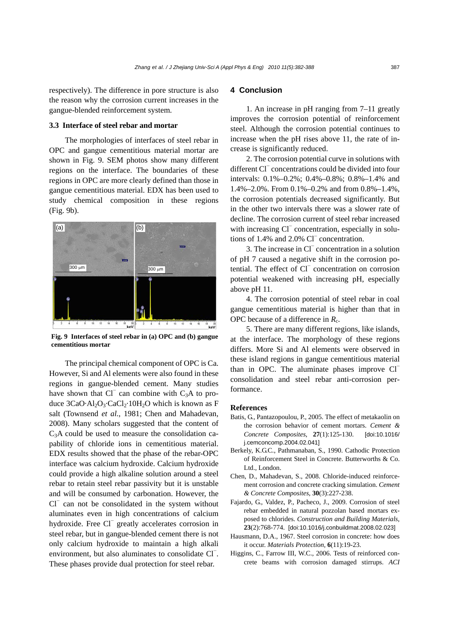respectively). The difference in pore structure is also the reason why the corrosion current increases in the gangue-blended reinforcement system.

## **3.3 Interface of steel rebar and mortar**

The morphologies of interfaces of steel rebar in OPC and gangue cementitious material mortar are shown in Fig. 9. SEM photos show many different regions on the interface. The boundaries of these regions in OPC are more clearly defined than those in gangue cementitious material. EDX has been used to study chemical composition in these regions (Fig. 9b).



**Fig. 9 Interfaces of steel rebar in (a) OPC and (b) gangue cementitious mortar** 

The principal chemical component of OPC is Ca. However, Si and Al elements were also found in these regions in gangue-blended cement. Many studies have shown that  $Cl^-$  can combine with  $C_3A$  to produce  $3CaO·Al<sub>2</sub>O<sub>3</sub>·CaCl<sub>2</sub>·10H<sub>2</sub>O$  which is known as F salt (Townsend *et al.*, 1981; Chen and Mahadevan, 2008). Many scholars suggested that the content of C3A could be used to measure the consolidation capability of chloride ions in cementitious material. EDX results showed that the phase of the rebar-OPC interface was calcium hydroxide. Calcium hydroxide could provide a high alkaline solution around a steel rebar to retain steel rebar passivity but it is unstable and will be consumed by carbonation. However, the Cl<sup>−</sup> can not be consolidated in the system without aluminates even in high concentrations of calcium hydroxide. Free Cl<sup>−</sup> greatly accelerates corrosion in steel rebar, but in gangue-blended cement there is not only calcium hydroxide to maintain a high alkali environment, but also aluminates to consolidate Cl<sup>−</sup>. These phases provide dual protection for steel rebar.

## **4 Conclusion**

1. An increase in pH ranging from 7–11 greatly improves the corrosion potential of reinforcement steel. Although the corrosion potential continues to increase when the pH rises above 11, the rate of increase is significantly reduced.

2. The corrosion potential curve in solutions with different Cl<sup>−</sup> concentrations could be divided into four intervals: 0.1%–0.2%; 0.4%–0.8%; 0.8%–1.4% and 1.4%–2.0%. From 0.1%–0.2% and from 0.8%–1.4%, the corrosion potentials decreased significantly. But in the other two intervals there was a slower rate of decline. The corrosion current of steel rebar increased with increasing Cl<sup>−</sup> concentration, especially in solutions of 1.4% and 2.0% Cl<sup>−</sup> concentration.

3. The increase in Cl<sup>−</sup> concentration in a solution of pH 7 caused a negative shift in the corrosion potential. The effect of Cl<sup>−</sup> concentration on corrosion potential weakened with increasing pH, especially above pH 11.

4. The corrosion potential of steel rebar in coal gangue cementitious material is higher than that in OPC because of a difference in  $R_c$ .

5. There are many different regions, like islands, at the interface. The morphology of these regions differs. More Si and Al elements were observed in these island regions in gangue cementitious material than in OPC. The aluminate phases improve Cl<sup>−</sup> consolidation and steel rebar anti-corrosion performance.

#### **References**

- Batis, G., Pantazopoulou, P., 2005. The effect of metakaolin on the corrosion behavior of cement mortars. *Cement & Concrete Composites*, **27**(1):125-130. [doi:10.1016/ j.cemconcomp.2004.02.041]
- Berkely, K.G.C., Pathmanaban, S., 1990. Cathodic Protection of Reinforcement Steel in Concrete. Butterworths & Co. Ltd., London.
- Chen, D., Mahadevan, S., 2008. Chloride-induced reinforcement corrosion and concrete cracking simulation. *Cement & Concrete Composites*, **30**(3):227-238.
- Fajardo, G., Valdez, P., Pacheco, J., 2009. Corrosion of steel rebar embedded in natural pozzolan based mortars exposed to chlorides. *Construction and Building Materials*, **23**(2):768-774. [doi:10.1016/j.conbuildmat.2008.02.023]
- Hausmann, D.A., 1967. Steel corrosion in concrete: how does it occur. *Materials Protection*, **6**(11):19-23.
- Higgins, C., Farrow III, W.C., 2006. Tests of reinforced concrete beams with corrosion damaged stirrups. *ACI*